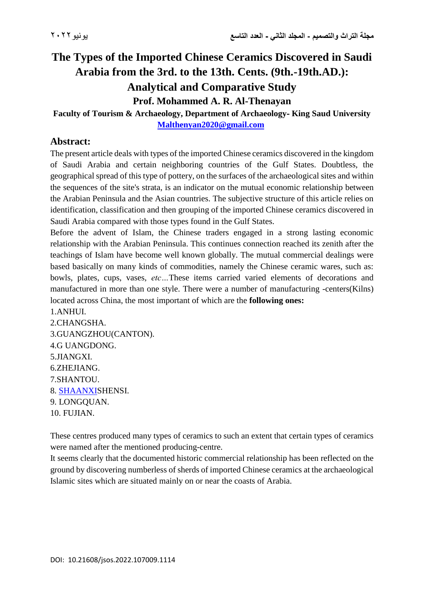# **The Types of the Imported Chinese Ceramics Discovered in Saudi Arabia from the 3rd. to the 13th. Cents. (9th.-19th.AD.): Analytical and Comparative Study Prof. Mohammed A. R. Al-Thenayan**

#### **Faculty of Tourism & Archaeology, Department of Archaeology- King Saud University [Malthenyan2020@gmail.com](mailto:Malthenyan2020@gmail.com)**

### **Abstract:**

The present article deals with types of the imported Chinese ceramics discovered in the kingdom of Saudi Arabia and certain neighboring countries of the Gulf States. Doubtless, the geographical spread of this type of pottery, on the surfaces of the archaeological sites and within the sequences of the site's strata, is an indicator on the mutual economic relationship between the Arabian Peninsula and the Asian countries. The subjective structure of this article relies on identification, classification and then grouping of the imported Chinese ceramics discovered in Saudi Arabia compared with those types found in the Gulf States.

Before the advent of Islam, the Chinese traders engaged in a strong lasting economic relationship with the Arabian Peninsula. This continues connection reached its zenith after the teachings of Islam have become well known globally. The mutual commercial dealings were based basically on many kinds of commodities, namely the Chinese ceramic wares, such as: bowls, plates, cups, vases, *etc…*These items carried varied elements of decorations and manufactured in more than one style. There were a number of manufacturing -centers(Kilns) located across China, the most important of which are the **following ones:**

1.ANHUI. 2.CHANGSHA. 3.GUANGZHOU(CANTON). 4.G UANGDONG. 5.JIANGXI. 6.ZHEJIANG. 7.SHANTOU. 8[.](https://upload.wikimedia.org/wikipedia/commons/9/92/Zh-Shaanxi.ogg) [SHAANXIS](https://upload.wikimedia.org/wikipedia/commons/9/92/Zh-Shaanxi.ogg)HENSI. 9. LONGQUAN. 10. FUJIAN.

These centres produced many types of ceramics to such an extent that certain types of ceramics were named after the mentioned producing-centre.

It seems clearly that the documented historic commercial relationship has been reflected on the ground by discovering numberless of sherds of imported Chinese ceramics at the archaeological Islamic sites which are situated mainly on or near the coasts of Arabia.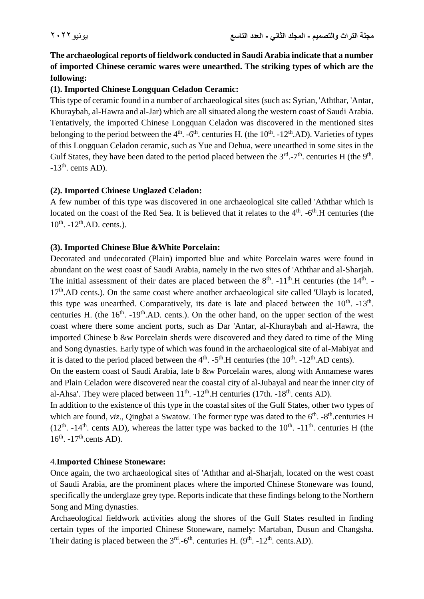**The archaeological reports of fieldwork conducted in Saudi Arabia indicate that a number of imported Chinese ceramic wares were unearthed. The striking types of which are the following:**

#### **(1). Imported Chinese Longquan Celadon Ceramic:**

This type of ceramic found in a number of archaeological sites (such as: Syrian, 'Aththar, 'Antar, Khuraybah, al-Hawra and al-Jar) which are all situated along the western coast of Saudi Arabia. Tentatively, the imported Chinese Longquan Celadon was discovered in the mentioned sites belonging to the period between the  $4<sup>th</sup>$ .  $-6<sup>th</sup>$ . centuries H. (the 10<sup>th</sup>.  $-12<sup>th</sup>$ .AD). Varieties of types of this Longquan Celadon ceramic, such as Yue and Dehua, were unearthed in some sites in the Gulf States, they have been dated to the period placed between the  $3<sup>rd</sup>$ -7<sup>th</sup>. centuries H (the 9<sup>th</sup>.  $-13<sup>th</sup>$ . cents AD).

#### **(2). Imported Chinese Unglazed Celadon:**

A few number of this type was discovered in one archaeological site called 'Aththar which is located on the coast of the Red Sea. It is believed that it relates to the  $4<sup>th</sup>$ .  $-6<sup>th</sup>$ . H centuries (the  $10^{th}$ .  $-12^{th}$ .AD. cents.).

#### **(3). Imported Chinese Blue &White Porcelain:**

Decorated and undecorated (Plain) imported blue and white Porcelain wares were found in abundant on the west coast of Saudi Arabia, namely in the two sites of 'Aththar and al-Sharjah. The initial assessment of their dates are placed between the  $8<sup>th</sup>$ .  $-11<sup>th</sup>$ . H centuries (the  $14<sup>th</sup>$ .  $17<sup>th</sup>$ .AD cents.). On the same coast where another archaeological site called 'Ulayb is located, this type was unearthed. Comparatively, its date is late and placed between the  $10^{th}$ .  $-13^{th}$ . centuries H. (the  $16<sup>th</sup>$ .  $-19<sup>th</sup>$ .AD. cents.). On the other hand, on the upper section of the west coast where there some ancient ports, such as Dar 'Antar, al-Khuraybah and al-Hawra, the imported Chinese b &w Porcelain sherds were discovered and they dated to time of the Ming and Song dynasties. Early type of which was found in the archaeological site of al-Mabiyat and it is dated to the period placed between the  $4<sup>th</sup>$ .  $-5<sup>th</sup>$ .H centuries (the 10<sup>th</sup>.  $-12<sup>th</sup>$ .AD cents).

On the eastern coast of Saudi Arabia, late b &w Porcelain wares, along with Annamese wares and Plain Celadon were discovered near the coastal city of al-Jubayal and near the inner city of al-Ahsa'. They were placed between  $11<sup>th</sup>$ .  $-12<sup>th</sup>$ . H centuries (17th.  $-18<sup>th</sup>$ . cents AD).

In addition to the existence of this type in the coastal sites of the Gulf States, other two types of which are found, *viz.*, Qingbai a Swatow. The former type was dated to the 6<sup>th</sup>. -8<sup>th</sup>.centuries H  $(12<sup>th</sup>$ .  $-14<sup>th</sup>$ . cents AD), whereas the latter type was backed to the 10<sup>th</sup>.  $-11<sup>th</sup>$ . centuries H (the  $16<sup>th</sup>$ .  $-17<sup>th</sup>$ .cents AD).

#### 4.**Imported Chinese Stoneware:**

Once again, the two archaeological sites of 'Aththar and al-Sharjah, located on the west coast of Saudi Arabia, are the prominent places where the imported Chinese Stoneware was found, specifically the underglaze grey type. Reports indicate that these findings belong to the Northern Song and Ming dynasties.

Archaeological fieldwork activities along the shores of the Gulf States resulted in finding certain types of the imported Chinese Stoneware, namely: Martaban, Dusun and Changsha. Their dating is placed between the  $3<sup>rd</sup>$ -6<sup>th</sup>. centuries H. (9<sup>th</sup>. -12<sup>th</sup>. cents.AD).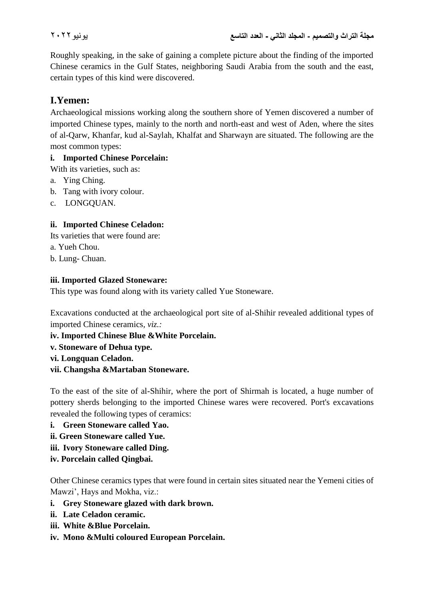Roughly speaking, in the sake of gaining a complete picture about the finding of the imported Chinese ceramics in the Gulf States, neighboring Saudi Arabia from the south and the east, certain types of this kind were discovered.

## **I.Yemen:**

Archaeological missions working along the southern shore of Yemen discovered a number of imported Chinese types, mainly to the north and north-east and west of Aden, where the sites of al-Qarw, Khanfar, kud al-Saylah, Khalfat and Sharwayn are situated. The following are the most common types:

#### **i. Imported Chinese Porcelain:**

With its varieties, such as:

- a. Ying Ching.
- b. Tang with ivory colour.
- c. LONGQUAN.

#### **ii. Imported Chinese Celadon:**

Its varieties that were found are:

a. Yueh Chou.

b. Lung- Chuan.

#### **iii. Imported Glazed Stoneware:**

This type was found along with its variety called Yue Stoneware.

Excavations conducted at the archaeological port site of al-Shihir revealed additional types of imported Chinese ceramics*, viz.:*

**iv. Imported Chinese Blue &White Porcelain.**

**v. Stoneware of Dehua type.**

**vi. Longquan Celadon.**

**vii. Changsha &Martaban Stoneware.**

To the east of the site of al-Shihir, where the port of Shirmah is located, a huge number of pottery sherds belonging to the imported Chinese wares were recovered. Port's excavations revealed the following types of ceramics:

- **i. Green Stoneware called Yao.**
- **ii. Green Stoneware called Yue.**
- **iii. Ivory Stoneware called Ding.**
- **iv. Porcelain called Qingbai.**

Other Chinese ceramics types that were found in certain sites situated near the Yemeni cities of Mawzi', Hays and Mokha, viz.:

- **i. Grey Stoneware glazed with dark brown.**
- **ii. Late Celadon ceramic.**
- **iii. White &Blue Porcelain.**
- **iv. Mono &Multi coloured European Porcelain.**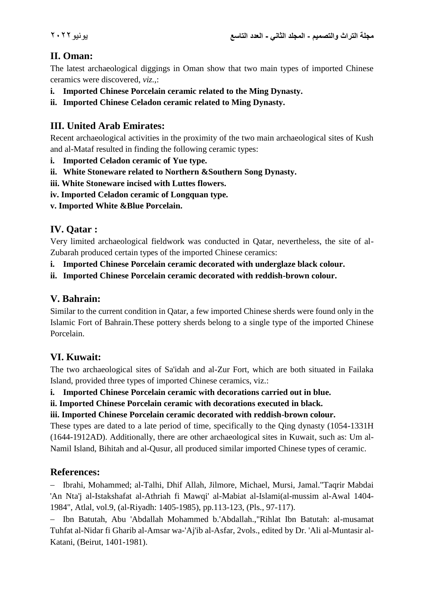## **II. Oman:**

The latest archaeological diggings in Oman show that two main types of imported Chinese ceramics were discovered, *viz.*,:

- **i. Imported Chinese Porcelain ceramic related to the Ming Dynasty.**
- **ii. Imported Chinese Celadon ceramic related to Ming Dynasty.**

## **III. United Arab Emirates:**

Recent archaeological activities in the proximity of the two main archaeological sites of Kush and al-Mataf resulted in finding the following ceramic types:

- **i. Imported Celadon ceramic of Yue type.**
- **ii. White Stoneware related to Northern &Southern Song Dynasty.**
- **iii. White Stoneware incised with Luttes flowers.**
- **iv. Imported Celadon ceramic of Longquan type.**
- **v. Imported White &Blue Porcelain.**

## **IV. Qatar :**

Very limited archaeological fieldwork was conducted in Qatar, nevertheless, the site of al-Zubarah produced certain types of the imported Chinese ceramics:

- **i. Imported Chinese Porcelain ceramic decorated with underglaze black colour.**
- **ii. Imported Chinese Porcelain ceramic decorated with reddish-brown colour.**

## **V. Bahrain:**

Similar to the current condition in Qatar, a few imported Chinese sherds were found only in the Islamic Fort of Bahrain.These pottery sherds belong to a single type of the imported Chinese Porcelain.

## **VI. Kuwait:**

The two archaeological sites of Sa'idah and al-Zur Fort, which are both situated in Failaka Island, provided three types of imported Chinese ceramics, viz.:

**i. Imported Chinese Porcelain ceramic with decorations carried out in blue.**

**ii. Imported Chinese Porcelain ceramic with decorations executed in black.**

**iii. Imported Chinese Porcelain ceramic decorated with reddish-brown colour.**

These types are dated to a late period of time, specifically to the Qing dynasty (1054-1331H (1644-1912AD). Additionally, there are other archaeological sites in Kuwait, such as: Um al-Namil Island, Bihitah and al-Qusur, all produced similar imported Chinese types of ceramic.

### **References:**

 Ibrahi, Mohammed; al-Talhi, Dhif Allah, Jilmore, Michael, Mursi, Jamal."Taqrir Mabdai 'An Nta'j al-Istakshafat al-Athriah fi Mawqi' al-Mabiat al-Islami(al-mussim al-Awal 1404- 1984", Atlal, vol.9, (al-Riyadh: 1405-1985), pp.113-123, (Pls., 97-117).

 Ibn Batutah, Abu 'Abdallah Mohammed b.'Abdallah.,"Rihlat Ibn Batutah: al-musamat Tuhfat al-Nidar fi Gharib al-Amsar wa-'Aj'ib al-Asfar, 2vols., edited by Dr. 'Ali al-Muntasir al-Katani, (Beirut, 1401-1981).